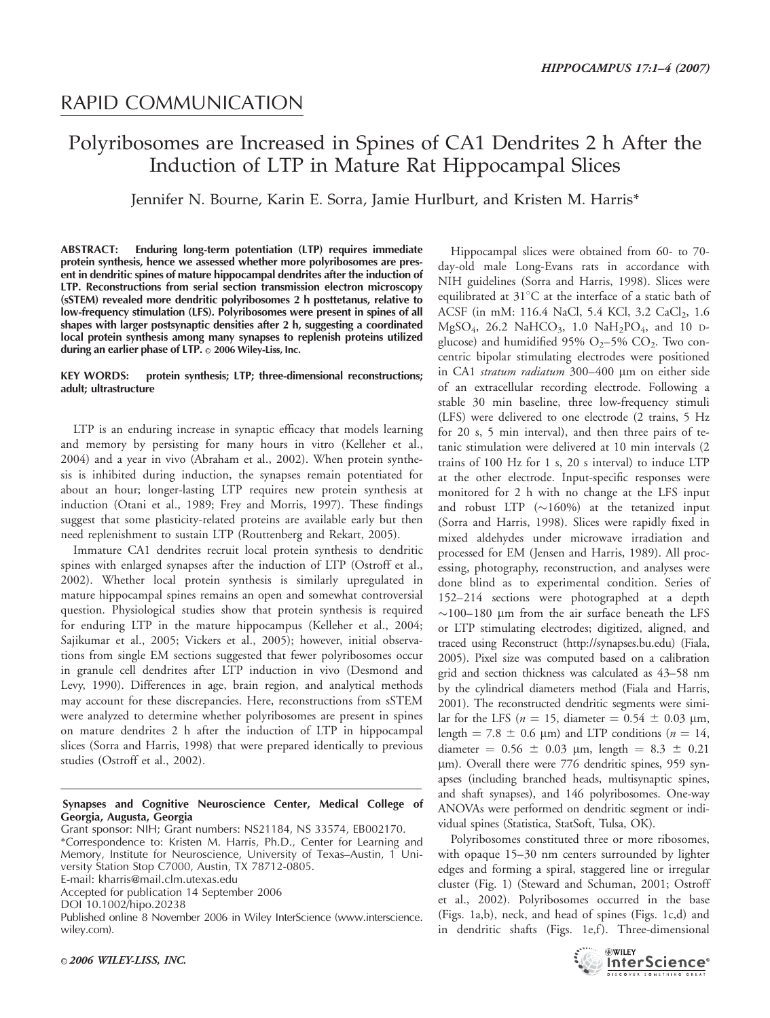## RAPID COMMUNICATION

# Polyribosomes are Increased in Spines of CA1 Dendrites 2 h After the Induction of LTP in Mature Rat Hippocampal Slices

Jennifer N. Bourne, Karin E. Sorra, Jamie Hurlburt, and Kristen M. Harris\*

ABSTRACT: Enduring long-term potentiation (LTP) requires immediate protein synthesis, hence we assessed whether more polyribosomes are present in dendritic spines of mature hippocampal dendrites after the induction of LTP. Reconstructions from serial section transmission electron microscopy (sSTEM) revealed more dendritic polyribosomes 2 h posttetanus, relative to low-frequency stimulation (LFS). Polyribosomes were present in spines of all shapes with larger postsynaptic densities after 2 h, suggesting a coordinated local protein synthesis among many synapses to replenish proteins utilized during an earlier phase of LTP. © 2006 Wiley-Liss, Inc.

#### KEY WORDS: protein synthesis; LTP; three-dimensional reconstructions; adult; ultrastructure

LTP is an enduring increase in synaptic efficacy that models learning and memory by persisting for many hours in vitro (Kelleher et al., 2004) and a year in vivo (Abraham et al., 2002). When protein synthesis is inhibited during induction, the synapses remain potentiated for about an hour; longer-lasting LTP requires new protein synthesis at induction (Otani et al., 1989; Frey and Morris, 1997). These findings suggest that some plasticity-related proteins are available early but then need replenishment to sustain LTP (Routtenberg and Rekart, 2005).

Immature CA1 dendrites recruit local protein synthesis to dendritic spines with enlarged synapses after the induction of LTP (Ostroff et al., 2002). Whether local protein synthesis is similarly upregulated in mature hippocampal spines remains an open and somewhat controversial question. Physiological studies show that protein synthesis is required for enduring LTP in the mature hippocampus (Kelleher et al., 2004; Sajikumar et al., 2005; Vickers et al., 2005); however, initial observations from single EM sections suggested that fewer polyribosomes occur in granule cell dendrites after LTP induction in vivo (Desmond and Levy, 1990). Differences in age, brain region, and analytical methods may account for these discrepancies. Here, reconstructions from sSTEM were analyzed to determine whether polyribosomes are present in spines on mature dendrites 2 h after the induction of LTP in hippocampal slices (Sorra and Harris, 1998) that were prepared identically to previous studies (Ostroff et al., 2002).

#### Synapses and Cognitive Neuroscience Center, Medical College of Georgia, Augusta, Georgia

Grant sponsor: NIH; Grant numbers: NS21184, NS 33574, EB002170. \*Correspondence to: Kristen M. Harris, Ph.D., Center for Learning and Memory, Institute for Neuroscience, University of Texas–Austin, 1 University Station Stop C7000, Austin, TX 78712-0805.

E-mail: kharris@mail.clm.utexas.edu

Accepted for publication 14 September 2006

DOI 10.1002/hipo.20238

Published online 8 November 2006 in Wiley InterScience (www.interscience. wiley.com).

Hippocampal slices were obtained from 60- to 70 day-old male Long-Evans rats in accordance with NIH guidelines (Sorra and Harris, 1998). Slices were equilibrated at  $31^{\circ}$ C at the interface of a static bath of ACSF (in mM: 116.4 NaCl, 5.4 KCl, 3.2 CaCl<sub>2</sub>, 1.6  $MgSO_4$ , 26.2 NaHCO<sub>3</sub>, 1.0 NaH<sub>2</sub>PO<sub>4</sub>, and 10 Dglucose) and humidified 95%  $O<sub>2</sub>$ –5%  $CO<sub>2</sub>$ . Two concentric bipolar stimulating electrodes were positioned in CA1 stratum radiatum 300-400 µm on either side of an extracellular recording electrode. Following a stable 30 min baseline, three low-frequency stimuli (LFS) were delivered to one electrode (2 trains, 5 Hz for 20 s, 5 min interval), and then three pairs of tetanic stimulation were delivered at 10 min intervals (2 trains of 100 Hz for 1 s, 20 s interval) to induce LTP at the other electrode. Input-specific responses were monitored for 2 h with no change at the LFS input and robust LTP  $(\sim160\%)$  at the tetanized input (Sorra and Harris, 1998). Slices were rapidly fixed in mixed aldehydes under microwave irradiation and processed for EM (Jensen and Harris, 1989). All processing, photography, reconstruction, and analyses were done blind as to experimental condition. Series of 152–214 sections were photographed at a depth  $\sim$ 100–180 µm from the air surface beneath the LFS or LTP stimulating electrodes; digitized, aligned, and traced using Reconstruct (http://synapses.bu.edu) (Fiala, 2005). Pixel size was computed based on a calibration grid and section thickness was calculated as 43–58 nm by the cylindrical diameters method (Fiala and Harris, 2001). The reconstructed dendritic segments were similar for the LFS ( $n = 15$ , diameter  $= 0.54 \pm 0.03$  µm, length = 7.8  $\pm$  0.6 µm) and LTP conditions ( $n = 14$ , diameter =  $0.56 \pm 0.03$  µm, length =  $8.3 \pm 0.21$ µm). Overall there were 776 dendritic spines, 959 synapses (including branched heads, multisynaptic spines, and shaft synapses), and 146 polyribosomes. One-way ANOVAs were performed on dendritic segment or individual spines (Statistica, StatSoft, Tulsa, OK).

Polyribosomes constituted three or more ribosomes, with opaque 15–30 nm centers surrounded by lighter edges and forming a spiral, staggered line or irregular cluster (Fig. 1) (Steward and Schuman, 2001; Ostroff et al., 2002). Polyribosomes occurred in the base (Figs. 1a,b), neck, and head of spines (Figs. 1c,d) and in dendritic shafts (Figs. 1e,f). Three-dimensional

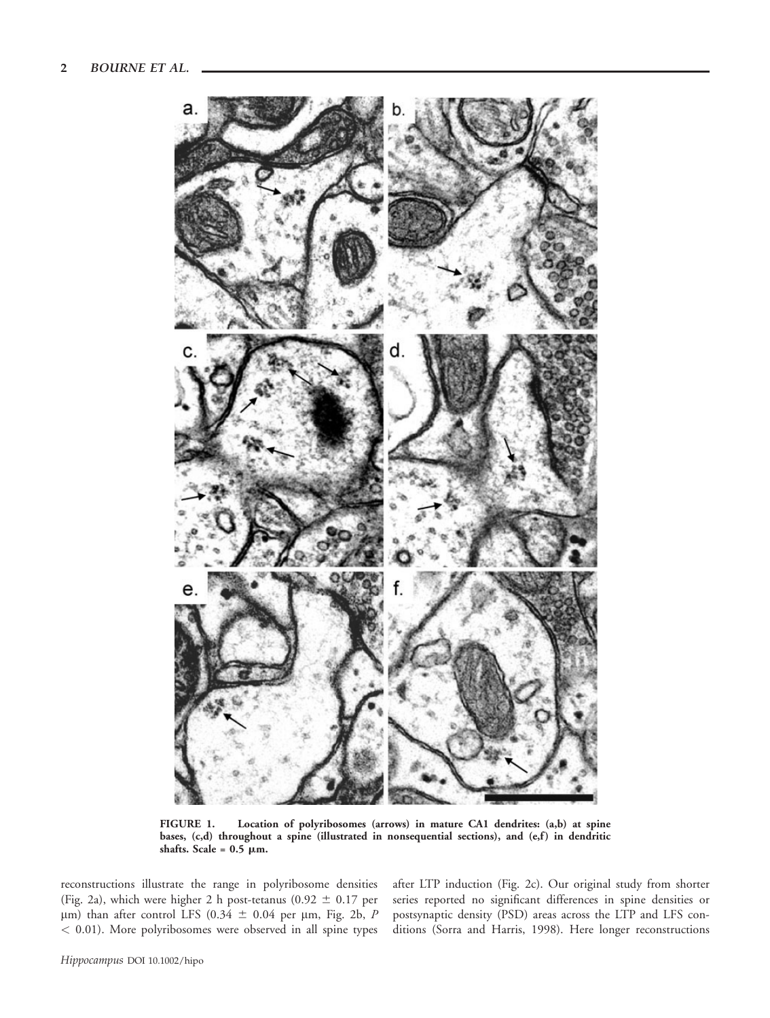

FIGURE 1. Location of polyribosomes (arrows) in mature CA1 dendrites: (a,b) at spine bases, (c,d) throughout a spine (illustrated in nonsequential sections), and (e,f) in dendritic shafts. Scale =  $0.5 \mu m$ .

reconstructions illustrate the range in polyribosome densities (Fig. 2a), which were higher 2 h post-tetanus (0.92  $\pm$  0.17 per  $\mu$ m) than after control LFS (0.34  $\pm$  0.04 per  $\mu$ m, Fig. 2b, P < 0.01). More polyribosomes were observed in all spine types after LTP induction (Fig. 2c). Our original study from shorter series reported no significant differences in spine densities or postsynaptic density (PSD) areas across the LTP and LFS conditions (Sorra and Harris, 1998). Here longer reconstructions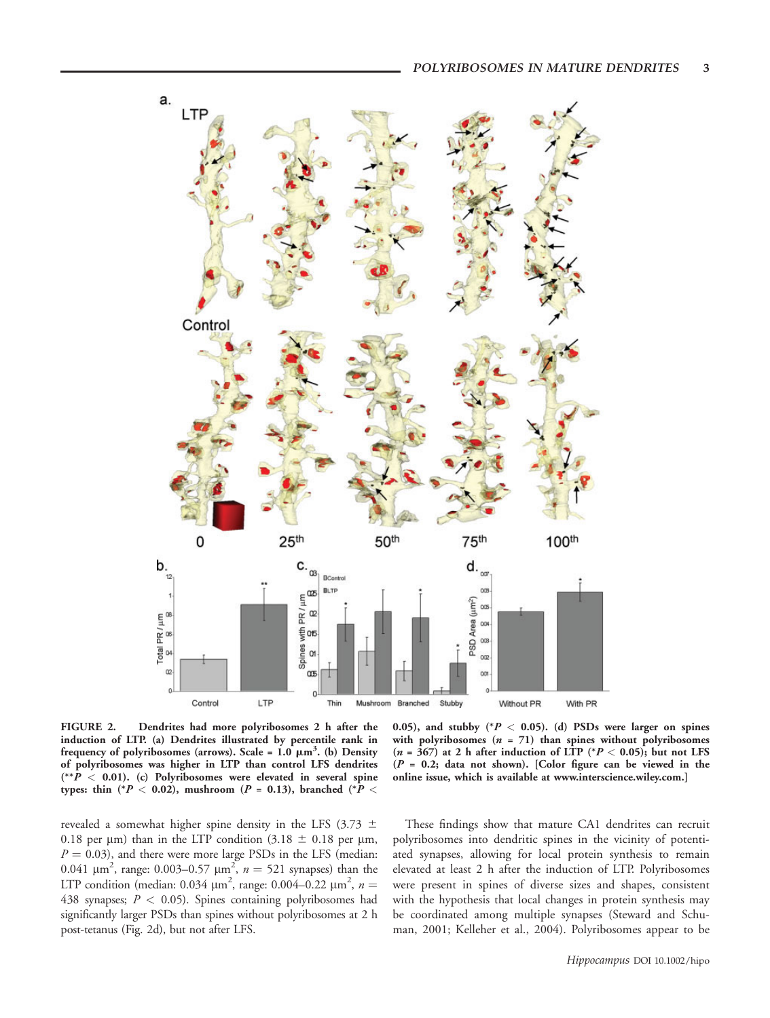

FIGURE 2. Dendrites had more polyribosomes 2 h after the induction of LTP. (a) Dendrites illustrated by percentile rank in frequency of polyribosomes (arrows). Scale =  $1.0 \mu m^3$ . (b) Density of polyribosomes was higher in LTP than control LFS dendrites  $(*\hat{P} < 0.01)$ . (c) Polyribosomes were elevated in several spine types: thin (\* $P < 0.02$ ), mushroom ( $P = 0.13$ ), branched (\* $P <$ 

0.05), and stubby  $(^*P < 0.05)$ . (d) PSDs were larger on spines with polyribosomes  $(n = 71)$  than spines without polyribosomes  $(n = 367)$  at 2 h after induction of LTP (\* $P < 0.05$ ); but not LFS  $(P = 0.2;$  data not shown). [Color figure can be viewed in the online issue, which is available at www.interscience.wiley.com.]

revealed a somewhat higher spine density in the LFS (3.73  $\pm$ 0.18 per  $\mu$ m) than in the LTP condition (3.18  $\pm$  0.18 per  $\mu$ m,  $P = 0.03$ ), and there were more large PSDs in the LFS (median: 0.041  $\mu$ m<sup>2</sup>, range: 0.003–0.57  $\mu$ m<sup>2</sup>,  $n = 521$  synapses) than the LTP condition (median: 0.034  $\mu$ m<sup>2</sup>, range: 0.004–0.22  $\mu$ m<sup>2</sup>, n = 438 synapses;  $P < 0.05$ ). Spines containing polyribosomes had significantly larger PSDs than spines without polyribosomes at 2 h post-tetanus (Fig. 2d), but not after LFS.

These findings show that mature CA1 dendrites can recruit polyribosomes into dendritic spines in the vicinity of potentiated synapses, allowing for local protein synthesis to remain elevated at least 2 h after the induction of LTP. Polyribosomes were present in spines of diverse sizes and shapes, consistent with the hypothesis that local changes in protein synthesis may be coordinated among multiple synapses (Steward and Schuman, 2001; Kelleher et al., 2004). Polyribosomes appear to be